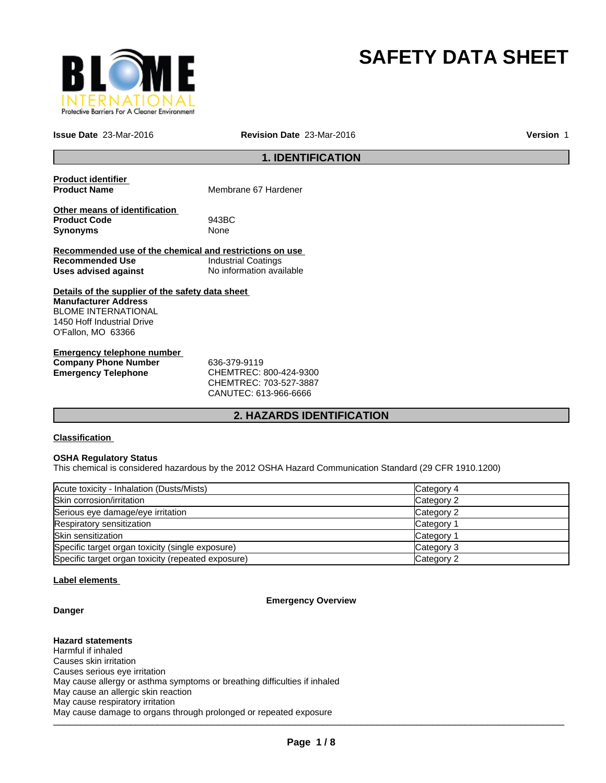

# **SAFETY DATA SHEET**

**Issue Date** 23-Mar-2016 **Revision Date** 23-Mar-2016

**Version** 1

## **1. IDENTIFICATION**

| <b>Product identifier</b><br><b>Product Name</b>                                                                                                                  | Membrane 67 Hardener                                   |
|-------------------------------------------------------------------------------------------------------------------------------------------------------------------|--------------------------------------------------------|
| Other means of identification<br><b>Product Code</b><br><b>Synonyms</b>                                                                                           | 943BC<br><b>None</b>                                   |
| Recommended use of the chemical and restrictions on use<br>Recommended Use<br>Uses advised against                                                                | <b>Industrial Coatings</b><br>No information available |
| Details of the supplier of the safety data sheet<br><b>Manufacturer Address</b><br><b>BLOME INTERNATIONAL</b><br>1450 Hoff Industrial Drive<br>O'Fallon, MO 63366 |                                                        |

| Emergency telephone number  |                          |
|-----------------------------|--------------------------|
| <b>Company Phone Number</b> | 636-379-9119             |
| Emergency Telephone         | CHEMTREC: 800-424-9300   |
|                             | CUTEIITDITC.702.727.0027 |

CHEMTREC: 703-527-3887 CANUTEC: 613-966-6666

## **2. HAZARDS IDENTIFICATION**

#### **Classification**

#### **OSHA Regulatory Status**

This chemical is considered hazardous by the 2012 OSHA Hazard Communication Standard (29 CFR 1910.1200)

| Acute toxicity - Inhalation (Dusts/Mists)          | Category 4 |
|----------------------------------------------------|------------|
| Skin corrosion/irritation                          | Category 2 |
| Serious eye damage/eye irritation                  | Category 2 |
| Respiratory sensitization                          | Category 1 |
| Skin sensitization                                 | Category 1 |
| Specific target organ toxicity (single exposure)   | Category 3 |
| Specific target organ toxicity (repeated exposure) | Category 2 |

#### **Label elements**

#### **Emergency Overview**

## **Danger**

### **Hazard statements**

\_\_\_\_\_\_\_\_\_\_\_\_\_\_\_\_\_\_\_\_\_\_\_\_\_\_\_\_\_\_\_\_\_\_\_\_\_\_\_\_\_\_\_\_\_\_\_\_\_\_\_\_\_\_\_\_\_\_\_\_\_\_\_\_\_\_\_\_\_\_\_\_\_\_\_\_\_\_\_\_\_\_\_\_\_\_\_\_\_\_\_\_\_ Harmful if inhaled Causes skin irritation Causes serious eye irritation May cause allergy or asthma symptoms or breathing difficulties if inhaled May cause an allergic skin reaction May cause respiratory irritation May cause damage to organs through prolonged or repeated exposure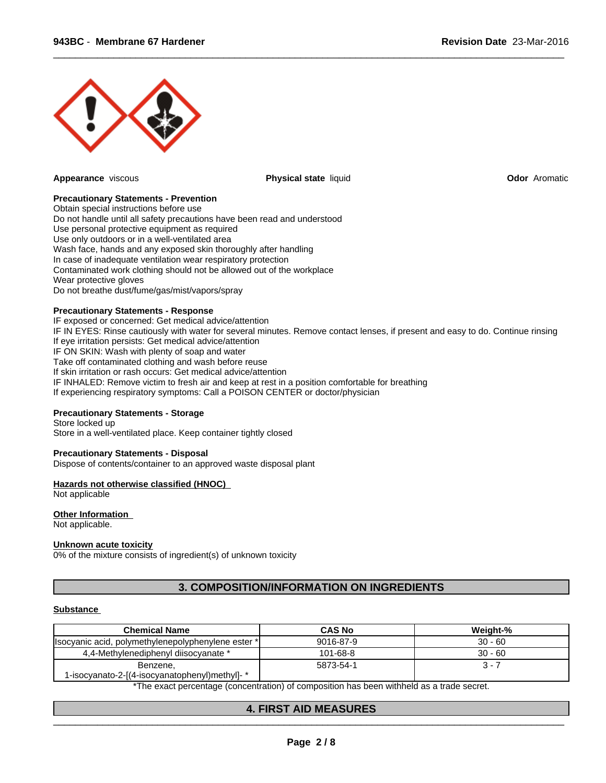

**Appearance** viscous **Physical state** liquid **Odor** Aromatic

 $\overline{\phantom{a}}$  ,  $\overline{\phantom{a}}$  ,  $\overline{\phantom{a}}$  ,  $\overline{\phantom{a}}$  ,  $\overline{\phantom{a}}$  ,  $\overline{\phantom{a}}$  ,  $\overline{\phantom{a}}$  ,  $\overline{\phantom{a}}$  ,  $\overline{\phantom{a}}$  ,  $\overline{\phantom{a}}$  ,  $\overline{\phantom{a}}$  ,  $\overline{\phantom{a}}$  ,  $\overline{\phantom{a}}$  ,  $\overline{\phantom{a}}$  ,  $\overline{\phantom{a}}$  ,  $\overline{\phantom{a}}$ 

#### **Precautionary Statements - Prevention**

Obtain special instructions before use Do not handle until all safety precautions have been read and understood Use personal protective equipment as required Use only outdoors or in a well-ventilated area Wash face, hands and any exposed skin thoroughly after handling In case of inadequate ventilation wear respiratory protection Contaminated work clothing should not be allowed out of the workplace Wear protective gloves Do not breathe dust/fume/gas/mist/vapors/spray

#### **Precautionary Statements - Response**

IF exposed or concerned: Get medical advice/attention IF IN EYES: Rinse cautiously with water for several minutes. Remove contact lenses, if present and easy to do. Continue rinsing If eye irritation persists: Get medical advice/attention IF ON SKIN: Wash with plenty of soap and water Take off contaminated clothing and wash before reuse If skin irritation or rash occurs: Get medical advice/attention IF INHALED: Remove victim to fresh air and keep at rest in a position comfortable for breathing If experiencing respiratory symptoms: Call a POISON CENTER or doctor/physician

#### **Precautionary Statements - Storage**

Store locked up Store in a well-ventilated place. Keep container tightly closed

#### **Precautionary Statements - Disposal**

Dispose of contents/container to an approved waste disposal plant

#### **Hazards not otherwise classified (HNOC)**

Not applicable

#### **Other Information**

Not applicable.

#### **Unknown acute toxicity**

0% of the mixture consists of ingredient(s) of unknown toxicity

## **3. COMPOSITION/INFORMATION ON INGREDIENTS**

#### **Substance**

| 9016-87-9<br>$30 - 60$<br>(Isocyanic acid, polymethylenepolyphenylene ester *)<br>101-68-8<br>$30 - 60$<br>4,4-Methylenediphenyl diisocyanate *<br>5873-54-1<br>3 - 7<br>Benzene, |
|-----------------------------------------------------------------------------------------------------------------------------------------------------------------------------------|
|                                                                                                                                                                                   |
|                                                                                                                                                                                   |
|                                                                                                                                                                                   |
| 1-isocyanato-2-[(4-isocyanatophenyl)methyl]-*                                                                                                                                     |

\*The exact percentage (concentration) of composition has been withheld as a trade secret.

 $\overline{\phantom{a}}$  , and the contribution of the contribution of the contribution of the contribution of the contribution of the contribution of the contribution of the contribution of the contribution of the contribution of the

## **4. FIRST AID MEASURES**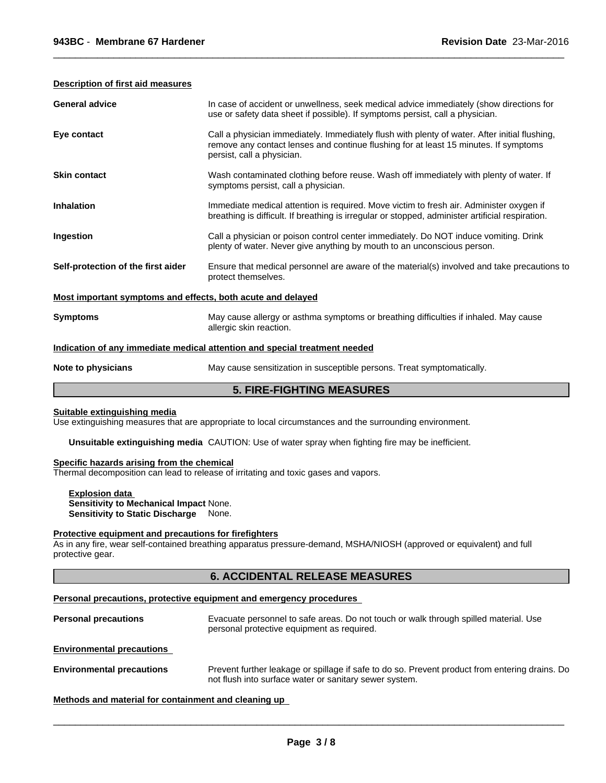#### **Description of first aid measures**

| <b>General advice</b>                                       | In case of accident or unwellness, seek medical advice immediately (show directions for<br>use or safety data sheet if possible). If symptoms persist, call a physician.                                            |
|-------------------------------------------------------------|---------------------------------------------------------------------------------------------------------------------------------------------------------------------------------------------------------------------|
| Eye contact                                                 | Call a physician immediately. Immediately flush with plenty of water. After initial flushing,<br>remove any contact lenses and continue flushing for at least 15 minutes. If symptoms<br>persist, call a physician. |
| <b>Skin contact</b>                                         | Wash contaminated clothing before reuse. Wash off immediately with plenty of water. If<br>symptoms persist, call a physician.                                                                                       |
| <b>Inhalation</b>                                           | Immediate medical attention is required. Move victim to fresh air. Administer oxygen if<br>breathing is difficult. If breathing is irregular or stopped, administer artificial respiration.                         |
| Ingestion                                                   | Call a physician or poison control center immediately. Do NOT induce vomiting. Drink<br>plenty of water. Never give anything by mouth to an unconscious person.                                                     |
| Self-protection of the first aider                          | Ensure that medical personnel are aware of the material(s) involved and take precautions to<br>protect themselves.                                                                                                  |
| Most important symptoms and effects, both acute and delayed |                                                                                                                                                                                                                     |
| <b>Symptoms</b>                                             | May cause allergy or asthma symptoms or breathing difficulties if inhaled. May cause<br>allergic skin reaction.                                                                                                     |
|                                                             | Indication of any immediate medical attention and special treatment needed                                                                                                                                          |
| Note to physicians                                          | May cause sensitization in susceptible persons. Treat symptomatically.                                                                                                                                              |

 $\overline{\phantom{a}}$  ,  $\overline{\phantom{a}}$  ,  $\overline{\phantom{a}}$  ,  $\overline{\phantom{a}}$  ,  $\overline{\phantom{a}}$  ,  $\overline{\phantom{a}}$  ,  $\overline{\phantom{a}}$  ,  $\overline{\phantom{a}}$  ,  $\overline{\phantom{a}}$  ,  $\overline{\phantom{a}}$  ,  $\overline{\phantom{a}}$  ,  $\overline{\phantom{a}}$  ,  $\overline{\phantom{a}}$  ,  $\overline{\phantom{a}}$  ,  $\overline{\phantom{a}}$  ,  $\overline{\phantom{a}}$ 

**5. FIRE-FIGHTING MEASURES**

#### **Suitable extinguishing media**

Use extinguishing measures that are appropriate to local circumstances and the surrounding environment.

**Unsuitable extinguishing media** CAUTION: Use of water spray when fighting fire may be inefficient.

#### **Specific hazards arising from the chemical**

Thermal decomposition can lead to release of irritating and toxic gases and vapors.

**Explosion data Sensitivity to Mechanical Impact** None. **Sensitivity to Static Discharge** None.

#### **Protective equipment and precautions for firefighters**

As in any fire, wear self-contained breathing apparatus pressure-demand, MSHA/NIOSH (approved or equivalent) and full protective gear.

## **6. ACCIDENTAL RELEASE MEASURES**

#### **Personal precautions, protective equipment and emergency procedures**

**Personal precautions** Evacuate personnel to safe areas. Do not touch or walk through spilled material. Use personal protective equipment as required. **Environmental precautions Environmental precautions** Prevent further leakage or spillage if safe to do so. Prevent product from entering drains. Do not flush into surface water or sanitary sewer system.

**Methods and material for containment and cleaning up**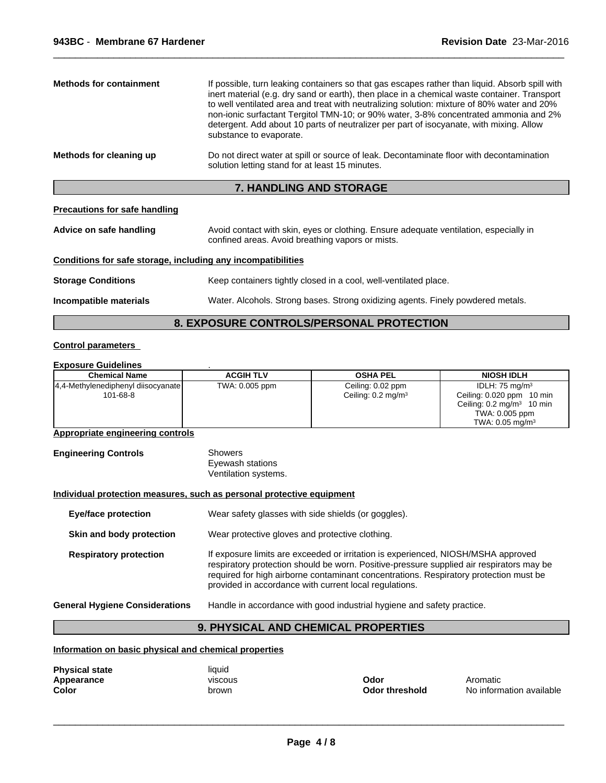| <b>Methods for containment</b> | If possible, turn leaking containers so that gas escapes rather than liquid. Absorb spill with<br>inert material (e.g. dry sand or earth), then place in a chemical waste container. Transport<br>to well ventilated area and treat with neutralizing solution: mixture of 80% water and 20%<br>non-ionic surfactant Tergitol TMN-10; or 90% water, 3-8% concentrated ammonia and 2%<br>detergent. Add about 10 parts of neutralizer per part of isocyanate, with mixing. Allow<br>substance to evaporate. |
|--------------------------------|------------------------------------------------------------------------------------------------------------------------------------------------------------------------------------------------------------------------------------------------------------------------------------------------------------------------------------------------------------------------------------------------------------------------------------------------------------------------------------------------------------|
| Methods for cleaning up        | Do not direct water at spill or source of leak. Decontaminate floor with decontamination<br>solution letting stand for at least 15 minutes.                                                                                                                                                                                                                                                                                                                                                                |

 $\overline{\phantom{a}}$  ,  $\overline{\phantom{a}}$  ,  $\overline{\phantom{a}}$  ,  $\overline{\phantom{a}}$  ,  $\overline{\phantom{a}}$  ,  $\overline{\phantom{a}}$  ,  $\overline{\phantom{a}}$  ,  $\overline{\phantom{a}}$  ,  $\overline{\phantom{a}}$  ,  $\overline{\phantom{a}}$  ,  $\overline{\phantom{a}}$  ,  $\overline{\phantom{a}}$  ,  $\overline{\phantom{a}}$  ,  $\overline{\phantom{a}}$  ,  $\overline{\phantom{a}}$  ,  $\overline{\phantom{a}}$ 

## **7. HANDLING AND STORAGE**

#### **Precautions for safe handling**

| Advice on safe handling                                      | Avoid contact with skin, eyes or clothing. Ensure adequate ventilation, especially in<br>confined areas. Avoid breathing vapors or mists. |
|--------------------------------------------------------------|-------------------------------------------------------------------------------------------------------------------------------------------|
| Conditions for safe storage, including any incompatibilities |                                                                                                                                           |
| <b>Storage Conditions</b>                                    | Keep containers tightly closed in a cool, well-ventilated place.                                                                          |
| Incompatible materials                                       | Water. Alcohols. Strong bases. Strong oxidizing agents. Finely powdered metals.                                                           |

## **8. EXPOSURE CONTROLS/PERSONAL PROTECTION**

## **Control parameters**

#### **Exposure Guidelines** .

| <b>Chemical Name</b>                 | <b>ACGIH TLV</b> | <b>OSHA PEL</b>               | <b>NIOSH IDLH</b>                    |
|--------------------------------------|------------------|-------------------------------|--------------------------------------|
| [4,4-Methylenediphenyl diisocyanate] | TWA: 0.005 ppm   | Ceiling: 0.02 ppm             | IDLH: $75 \text{ mg/m}^3$            |
| 101-68-8                             |                  | Ceiling: $0.2 \text{ mg/m}^3$ | Ceiling: 0.020 ppm<br>10 min         |
|                                      |                  |                               | Ceiling: $0.2 \text{ mg/m}^3$ 10 min |
|                                      |                  |                               | TWA: 0.005 ppm                       |
|                                      |                  |                               | TWA: $0.05$ mg/m <sup>3</sup>        |

#### **Appropriate engineering controls**

**Engineering Controls** Showers Eyewash stations Ventilation systems.

#### **Individual protection measures, such as personal protective equipment**

| Wear safety glasses with side shields (or goggles).                                                                                                                                                                                                                                                                              |
|----------------------------------------------------------------------------------------------------------------------------------------------------------------------------------------------------------------------------------------------------------------------------------------------------------------------------------|
| Wear protective gloves and protective clothing.                                                                                                                                                                                                                                                                                  |
| If exposure limits are exceeded or irritation is experienced, NIOSH/MSHA approved<br>respiratory protection should be worn. Positive-pressure supplied air respirators may be<br>required for high airborne contaminant concentrations. Respiratory protection must be<br>provided in accordance with current local regulations. |
| Handle in accordance with good industrial hygiene and safety practice.                                                                                                                                                                                                                                                           |
|                                                                                                                                                                                                                                                                                                                                  |

## **9. PHYSICAL AND CHEMICAL PROPERTIES**

#### **Information on basic physical and chemical properties**

| liauid         |                       |
|----------------|-----------------------|
| <b>VISCOUS</b> | Odor                  |
| brown          | <b>Odor threshold</b> |
|                |                       |

**No information available** Aromatic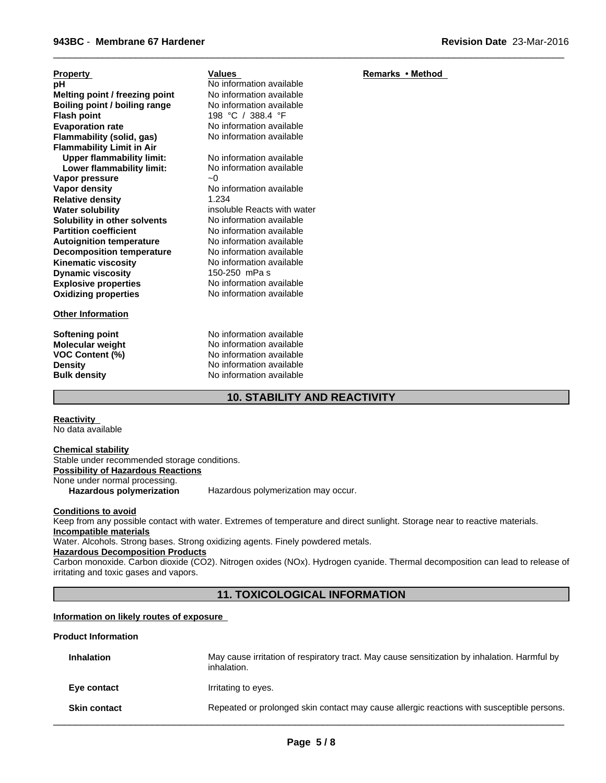| <b>Property</b>                  | Values                      | Remarks • Method |
|----------------------------------|-----------------------------|------------------|
| рH                               | No information available    |                  |
| Melting point / freezing point   | No information available    |                  |
| Boiling point / boiling range    | No information available    |                  |
| <b>Flash point</b>               | 198 °C / 388.4 °F           |                  |
| <b>Evaporation rate</b>          | No information available    |                  |
| Flammability (solid, gas)        | No information available    |                  |
| <b>Flammability Limit in Air</b> |                             |                  |
| <b>Upper flammability limit:</b> | No information available    |                  |
| Lower flammability limit:        | No information available    |                  |
| Vapor pressure                   | $\sim$ 0                    |                  |
| Vapor density                    | No information available    |                  |
| <b>Relative density</b>          | 1.234                       |                  |
| <b>Water solubility</b>          | insoluble Reacts with water |                  |
| Solubility in other solvents     | No information available    |                  |
| <b>Partition coefficient</b>     | No information available    |                  |
| <b>Autoignition temperature</b>  | No information available    |                  |
| <b>Decomposition temperature</b> | No information available    |                  |
| <b>Kinematic viscosity</b>       | No information available    |                  |
| <b>Dynamic viscosity</b>         | 150-250 mPa s               |                  |
| <b>Explosive properties</b>      | No information available    |                  |
| <b>Oxidizing properties</b>      | No information available    |                  |
| <b>Other Information</b>         |                             |                  |

**Softening point** No information available **Molecular weight** No information available **VOC Content (%)** No information available<br>
Density No information available **Density Density Density Bulk density Research American** No information available **No information available** 

## **10. STABILITY AND REACTIVITY**

 $\overline{\phantom{a}}$  ,  $\overline{\phantom{a}}$  ,  $\overline{\phantom{a}}$  ,  $\overline{\phantom{a}}$  ,  $\overline{\phantom{a}}$  ,  $\overline{\phantom{a}}$  ,  $\overline{\phantom{a}}$  ,  $\overline{\phantom{a}}$  ,  $\overline{\phantom{a}}$  ,  $\overline{\phantom{a}}$  ,  $\overline{\phantom{a}}$  ,  $\overline{\phantom{a}}$  ,  $\overline{\phantom{a}}$  ,  $\overline{\phantom{a}}$  ,  $\overline{\phantom{a}}$  ,  $\overline{\phantom{a}}$ 

**Reactivity**  No data available

**Chemical stability** Stable under recommended storage conditions. **Possibility of Hazardous Reactions** None under normal processing. **Hazardous polymerization** Hazardous polymerization may occur.

**Conditions to avoid**

Keep from any possible contact with water. Extremes of temperature and direct sunlight. Storage near to reactive materials. **Incompatible materials**

Water. Alcohols. Strong bases. Strong oxidizing agents. Finely powdered metals.

**Hazardous Decomposition Products**

Carbon monoxide. Carbon dioxide (CO2). Nitrogen oxides (NOx). Hydrogen cyanide. Thermal decomposition can lead to release of irritating and toxic gases and vapors.

## **11. TOXICOLOGICAL INFORMATION**

#### **Information on likely routes of exposure**

#### **Product Information**

| <b>Inhalation</b>   | May cause irritation of respiratory tract. May cause sensitization by inhalation. Harmful by<br>inhalation. |
|---------------------|-------------------------------------------------------------------------------------------------------------|
| Eye contact         | Irritating to eyes.                                                                                         |
| <b>Skin contact</b> | Repeated or prolonged skin contact may cause allergic reactions with susceptible persons.                   |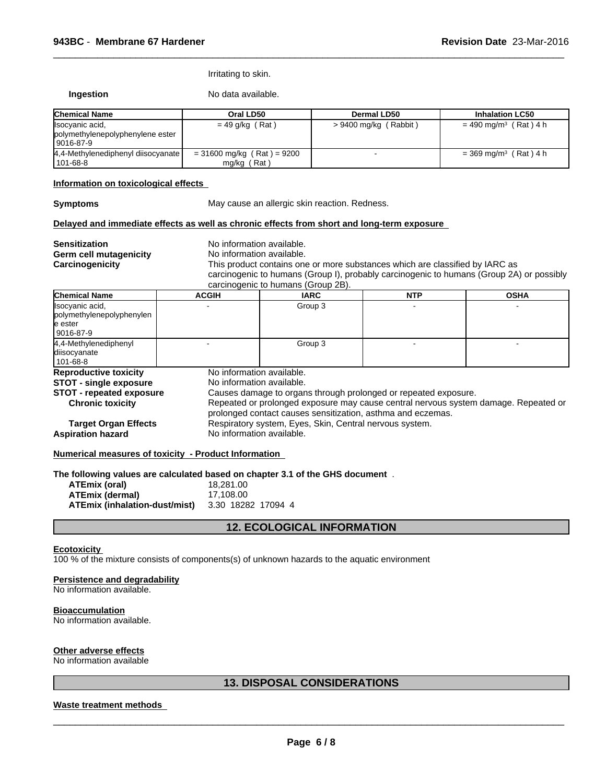Irritating to skin.

**Ingestion** No data available.

| <b>Chemical Name</b>                                                | Oral LD50                                     | Dermal LD50             | <b>Inhalation LC50</b>              |
|---------------------------------------------------------------------|-----------------------------------------------|-------------------------|-------------------------------------|
| llsocvanic acid.<br>polymethylenepolyphenylene ester<br>l 9016-87-9 | $= 49$ g/kg (Rat)                             | $> 9400$ mg/kg (Rabbit) | $= 490$ mg/m <sup>3</sup> (Rat) 4 h |
| 4,4-Methylenediphenyl diisocyanate  <br>l 101-68-8                  | $= 31600$ mg/kg (Rat) = 9200<br>$mg/kg$ (Rat) |                         | $= 369$ mg/m <sup>3</sup> (Rat) 4 h |

 $\overline{\phantom{a}}$  ,  $\overline{\phantom{a}}$  ,  $\overline{\phantom{a}}$  ,  $\overline{\phantom{a}}$  ,  $\overline{\phantom{a}}$  ,  $\overline{\phantom{a}}$  ,  $\overline{\phantom{a}}$  ,  $\overline{\phantom{a}}$  ,  $\overline{\phantom{a}}$  ,  $\overline{\phantom{a}}$  ,  $\overline{\phantom{a}}$  ,  $\overline{\phantom{a}}$  ,  $\overline{\phantom{a}}$  ,  $\overline{\phantom{a}}$  ,  $\overline{\phantom{a}}$  ,  $\overline{\phantom{a}}$ 

#### **Information on toxicological effects**

**Symptoms** May cause an allergic skin reaction. Redness.

#### **Delayed and immediate effects as well as chronic effects from short and long-term exposure**

**Sensitization** No information available. **Germ cell mutagenicity** No information available.

**Carcinogenicity** This product contains one or more substances which are classified by IARC as carcinogenic to humans (Group I), probably carcinogenic to humans (Group 2A) or possibly carcinogenic to humans (Group 2B).

| <b>Chemical Name</b>            | <b>ACGIH</b> | <b>IARC</b>                                                                                                                                        | <b>NTP</b> | <b>OSHA</b> |  |
|---------------------------------|--------------|----------------------------------------------------------------------------------------------------------------------------------------------------|------------|-------------|--|
| Isocyanic acid.                 |              | Group 3                                                                                                                                            |            |             |  |
| polymethylenepolyphenylen       |              |                                                                                                                                                    |            |             |  |
| le ester                        |              |                                                                                                                                                    |            |             |  |
| l 9016-87-9                     |              |                                                                                                                                                    |            |             |  |
| 4,4-Methylenediphenyl           |              | Group 3                                                                                                                                            |            |             |  |
| diisocyanate                    |              |                                                                                                                                                    |            |             |  |
| 101-68-8                        |              |                                                                                                                                                    |            |             |  |
| <b>Reproductive toxicity</b>    |              | No information available.                                                                                                                          |            |             |  |
| <b>STOT - single exposure</b>   |              | No information available.                                                                                                                          |            |             |  |
| <b>STOT - repeated exposure</b> |              | Causes damage to organs through prolonged or repeated exposure.                                                                                    |            |             |  |
| <b>Chronic toxicity</b>         |              | Repeated or prolonged exposure may cause central nervous system damage. Repeated or<br>prolonged contact causes sensitization, asthma and eczemas. |            |             |  |
| <b>Target Organ Effects</b>     |              | Respiratory system, Eyes, Skin, Central nervous system.                                                                                            |            |             |  |
| <b>Aspiration hazard</b>        |              | No information available.                                                                                                                          |            |             |  |

#### **Numerical measures of toxicity - Product Information**

**The following values are calculated based on chapter 3.1 of the GHS document** .

| ATEmix (oral)                 | 18.281.00          |
|-------------------------------|--------------------|
| ATEmix (dermal)               | 17.108.00          |
| ATEmix (inhalation-dust/mist) | 3.30 18282 17094 4 |

#### **12. ECOLOGICAL INFORMATION**

#### **Ecotoxicity**

100 % of the mixture consists of components(s) of unknown hazards to the aquatic environment

#### **Persistence and degradability**

No information available.

#### **Bioaccumulation**

No information available.

#### **Other adverse effects**

No information available

#### **13. DISPOSAL CONSIDERATIONS**

#### **Waste treatment methods**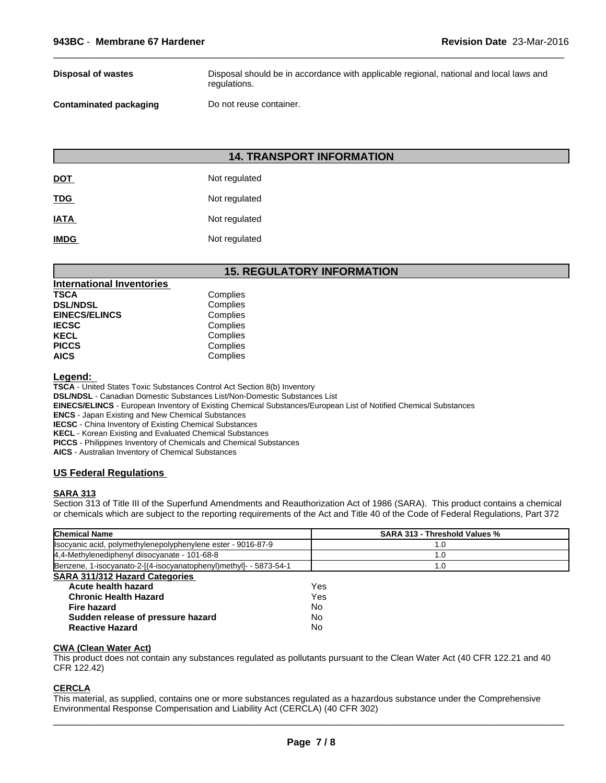| Disposal of wastes            | Disposal should be in accordance with applicable regional, national and local laws and<br>regulations. |
|-------------------------------|--------------------------------------------------------------------------------------------------------|
| <b>Contaminated packaging</b> | Do not reuse container.                                                                                |

 $\overline{\phantom{a}}$  ,  $\overline{\phantom{a}}$  ,  $\overline{\phantom{a}}$  ,  $\overline{\phantom{a}}$  ,  $\overline{\phantom{a}}$  ,  $\overline{\phantom{a}}$  ,  $\overline{\phantom{a}}$  ,  $\overline{\phantom{a}}$  ,  $\overline{\phantom{a}}$  ,  $\overline{\phantom{a}}$  ,  $\overline{\phantom{a}}$  ,  $\overline{\phantom{a}}$  ,  $\overline{\phantom{a}}$  ,  $\overline{\phantom{a}}$  ,  $\overline{\phantom{a}}$  ,  $\overline{\phantom{a}}$ 

#### **14. TRANSPORT INFORMATION**

| <b>DOT</b>  | Not regulated |
|-------------|---------------|
| <b>TDG</b>  | Not regulated |
| <b>IATA</b> | Not regulated |
| <b>IMDG</b> | Not regulated |

## **15. REGULATORY INFORMATION**

| <b>International Inventories</b> |          |
|----------------------------------|----------|
| TSCA                             | Complies |
| <b>DSL/NDSL</b>                  | Complies |
| <b>EINECS/ELINCS</b>             | Complies |
| IECSC                            | Complies |
| KECL                             | Complies |
| PICCS                            | Complies |
| AICS                             | Complies |
|                                  |          |

**Legend:** 

**TSCA** - United States Toxic Substances Control Act Section 8(b) Inventory

**DSL/NDSL** - Canadian Domestic Substances List/Non-Domestic Substances List

**EINECS/ELINCS** - European Inventory of Existing Chemical Substances/European List of Notified Chemical Substances

**ENCS** - Japan Existing and New Chemical Substances

**IECSC** - China Inventory of Existing Chemical Substances

**KECL** - Korean Existing and Evaluated Chemical Substances

**PICCS** - Philippines Inventory of Chemicals and Chemical Substances

**AICS** - Australian Inventory of Chemical Substances

#### **US Federal Regulations**

#### **SARA 313**

Section 313 of Title III of the Superfund Amendments and Reauthorization Act of 1986 (SARA). This product contains a chemical or chemicals which are subject to the reporting requirements of the Act and Title 40 of the Code of Federal Regulations, Part 372

| <b>Chemical Name</b>                                              | <b>SARA 313 - Threshold Values %</b> |  |
|-------------------------------------------------------------------|--------------------------------------|--|
| Isocyanic acid, polymethylenepolyphenylene ester - 9016-87-9      | 1.0                                  |  |
| 4,4-Methylenediphenyl diisocyanate - 101-68-8                     | 1.0                                  |  |
| Benzene, 1-isocyanato-2-[(4-isocyanatophenyl)methyl]- - 5873-54-1 | 1.0                                  |  |
| <b>SARA 311/312 Hazard Categories</b>                             |                                      |  |
| Acute health hazard                                               | Yes                                  |  |
| <b>Chronic Health Hazard</b>                                      | Yes                                  |  |
| <b>Fire hazard</b>                                                | No                                   |  |
| Sudden release of pressure hazard                                 | No                                   |  |
| <b>Reactive Hazard</b>                                            | No                                   |  |

#### **CWA (Clean Water Act)**

This product does not contain any substances regulated as pollutants pursuant to the Clean Water Act (40 CFR 122.21 and 40 CFR 122.42)

#### **CERCLA**

This material, as supplied, contains one or more substances regulated as a hazardous substance under the Comprehensive Environmental Response Compensation and Liability Act (CERCLA) (40 CFR 302)